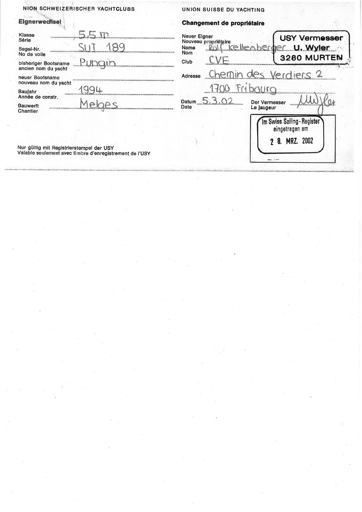|                                                                                                                                                                                                     | NION SCHWEIZERISCHER YACHTCLUBS                         | UNION SUISSE DU YACHTING                              |                                                             |  |
|-----------------------------------------------------------------------------------------------------------------------------------------------------------------------------------------------------|---------------------------------------------------------|-------------------------------------------------------|-------------------------------------------------------------|--|
| <b>Eignerwechsel</b>                                                                                                                                                                                |                                                         | Changement de propriétaire                            |                                                             |  |
| Klasse<br>Série<br>Segel-Nr.<br>No de voile<br>bisheriger Bootsname<br>ancien nom du yacht<br>neuer Bootsname<br>nouveau nom du yacht<br>Baujahr<br>Année de constr.<br><b>Bauwerft</b><br>Chantier |                                                         | Neuer Eigner                                          | <b>USY Vermesser</b>                                        |  |
|                                                                                                                                                                                                     |                                                         | Nouveau propriétaire<br>Name<br><b>Nom</b>            | berger U. Wyler<br>3280 MURTEN                              |  |
|                                                                                                                                                                                                     | <u>Puhqin - </u>                                        | Club                                                  |                                                             |  |
|                                                                                                                                                                                                     |                                                         | Chemin des Verdiers 2<br>Adresse                      |                                                             |  |
|                                                                                                                                                                                                     |                                                         | Fribauro                                              |                                                             |  |
|                                                                                                                                                                                                     |                                                         | Datum $5.3.02$<br>Der Vermesser<br>Date<br>Le jaugeur |                                                             |  |
|                                                                                                                                                                                                     |                                                         |                                                       | Im Swiss Sailing-Register<br>eingetragen am<br>8. MRZ. 2002 |  |
| Nur gültig mit Registrierstempel der USY                                                                                                                                                            | Valable seulement avec timbre d'enregistrement de l'USY |                                                       |                                                             |  |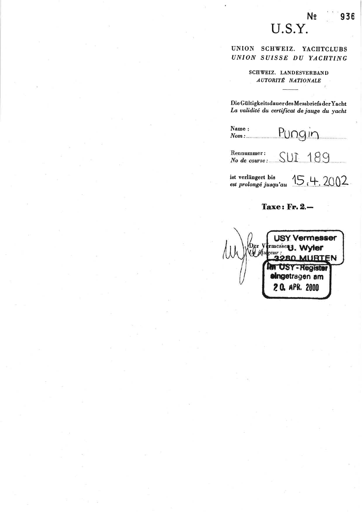## N<sub>2</sub> U.S.Y.

936

UNION SCHWEIZ. YACHTCLUBS UNION SUISSE DU YACHTING

## SCHWEIZ. LANDESVERBAND **AUTORITÉ NATIONALE**

Die Gültigkeitsdauer des Messbriefs der Yacht La validité du certificat de jauge du yacht

Name: Pungin  $Nom:$ 

Rennummer: SUI 189 No de course:....

ist verlängert bis<br>
est prolongé jusqu'au  $15, 4, 2002$ 

## **Taxe: Fr. 2.-**

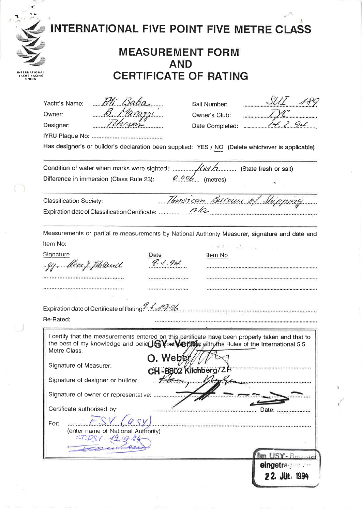| INTERNATIONAL FIVE POINT FIVE METRE CLASS                                                                                |
|--------------------------------------------------------------------------------------------------------------------------|
|                                                                                                                          |
| $SUT$ 180<br>14.2.94<br>Has designer's or builder's declaration been supplied: YES / NO (Delete whichever is applicable) |
|                                                                                                                          |
|                                                                                                                          |
| Measurements or partial re-measurements by National Authority Measurer, signature and date and                           |
| I certify that the measurements entered on this certificate have been properly taken and that to<br>eingetragen an       |
| 22. JUL. 1994                                                                                                            |

 $\sim$ 

 $\overline{\mathcal{F}}$ 

 $\frac{\partial}{\partial t}$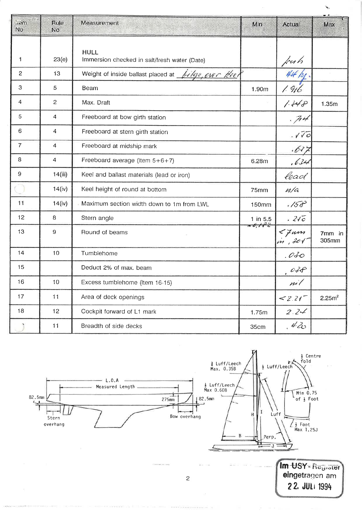| $\lim$<br>N <sub>o</sub>  | Rule<br>No     | Measurement                                                 | Min                    | Actual              | Max                |
|---------------------------|----------------|-------------------------------------------------------------|------------------------|---------------------|--------------------|
| 1                         | 23(e)          | <b>HULL</b><br>Immersion checked in salt/fresh water (Date) |                        | fresh               |                    |
| $\overline{c}$            | 13             | Weight of inside ballast placed at <i>bilge</i> , over keel |                        |                     |                    |
| $\ensuremath{\mathsf{3}}$ | 5              | <b>Beam</b>                                                 | 1.90m                  | 1916                |                    |
| 4                         | $\overline{c}$ | Max. Draft                                                  |                        | 1.148               | 1.35m              |
| 5                         | 4              | Freeboard at bow girth station                              |                        | .74                 |                    |
| 6                         | 4              | Freeboard at stern girth station                            |                        | $V\bar{V}$          |                    |
| $\overline{7}$            | 4              | Freeboard at midship mark                                   |                        | .637                |                    |
| 8                         | 4              | Freeboard average (Item $5+6+7$ )                           | 6.28m                  | , 634               |                    |
| 9                         | 14(iii)        | Keel and ballast materials (lead or iron)                   |                        | lead                |                    |
|                           | 14(iv)         | Keel height of round at bottom                              | <b>75mm</b>            | n/a                 |                    |
| 11                        | 14(iv)         | Maximum section width down to 1m from LWL                   | <b>150mm</b>           | $1/50^{3}$          |                    |
| 12                        | 8              | Stern angle                                                 | $1$ in $5.5$<br>26.182 | $.2\sqrt{c}$        |                    |
| 13                        | 9              | Round of beams                                              |                        | $<$ 7 am<br>in, 201 | 7mm in<br>305mm    |
| 14                        | 10             | Tumblehome                                                  |                        | .OL0                |                    |
| 15                        |                | Deduct 2% of max. beam                                      |                        | .028                |                    |
| 16                        | 10             | Excess tumblehome (Item 16-15)                              |                        | $\mu$ il            |                    |
| 17                        | 11             | Area of deck openings                                       |                        | $2.21^{-}$          | 2.25m <sup>2</sup> |
| 18                        | 12             | Cockpit forward of L1 mark                                  | 1.75m                  | 2.24                |                    |
|                           | 11             | Breadth of side decks                                       | 35cm                   | 420                 |                    |

 $\mathcal{C}_{\mathbf{q}}$ 

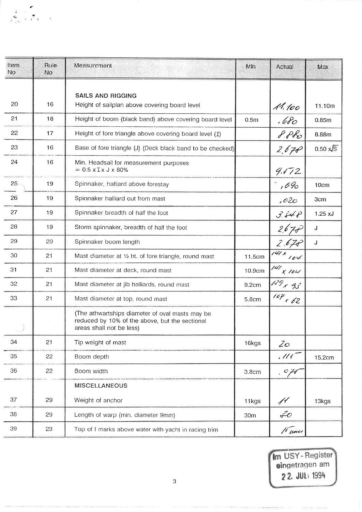| Item<br>No | Rule<br>No | Measurement                                                                                                                   | Min               | Actual              | Max                    |
|------------|------------|-------------------------------------------------------------------------------------------------------------------------------|-------------------|---------------------|------------------------|
| 20         | 16         | <b>SAILS AND RIGGING</b><br>Height of sailplan above covering board level                                                     |                   | 11.100              | 11.10m                 |
| 21         | 18         | Height of boom (black band) above covering board level                                                                        | 0.5 <sub>m</sub>  | .680                | 0.85 <sub>m</sub>      |
| 22         | 17         | Height of fore triangle above covering board level (I)                                                                        |                   | PPR                 | 8.88m                  |
| 23         | 16         | Base of fore triangle (J) (Deck black band to be checked)                                                                     |                   | 2,670               | $0.50 \times \sqrt{S}$ |
| 24         | 16         | Min. Headsail for measurement purposes<br>$= 0.5$ x I x J x 80%                                                               |                   | 9.172               |                        |
| 25         | 19         | Spinnaker, halliard above forestay                                                                                            |                   | $,0\%$              | 10cm                   |
| 26         | 19         | Spinnaker halliard out from mast                                                                                              |                   | 1020                | 3cm                    |
| 27         | 19         | Spinnaker breadth of half the foot                                                                                            |                   | 3.548               | $1.25 \text{ xJ}$      |
| 28         | 19         | Storm spinnaker, breadth of half the foot                                                                                     |                   | 2.675               | J                      |
| 29         | 20         | Spinnaker boom length                                                                                                         |                   | 2.675               | J                      |
| 30         | 21         | Mast diameter at 1/2 ht. of fore triangle, round mast                                                                         | 11.5cm            | $\sqrt{41}$ x $104$ |                        |
| 31         | 21         | Mast diameter at deck, round mast                                                                                             | 10.9cm            | $141$ x 104         |                        |
| 32         | 21         | Mast diameter at jib halliards, round mast                                                                                    | 9.2cm             | $129 - 95$          |                        |
| 33         | 21         | Mast diameter at top, round mast                                                                                              | 5.8cm             | $104 \times 62$     |                        |
|            |            | (The athwartships diameter of oval masts may be<br>reduced by 10% of the above, but the sectional<br>areas shall not be less) |                   |                     |                        |
| 34         | 21         | Tip weight of mast                                                                                                            | 16kgs             | $\mathcal{Z}$ O     |                        |
| 35         | 22         | Boom depth                                                                                                                    |                   | $\mu$               | 15.2cm                 |
| 36         | 22         | Boom width                                                                                                                    | 3.8 <sub>cm</sub> | $\sqrt{2}$          |                        |
|            |            | <b>MISCELLANEOUS</b>                                                                                                          |                   |                     |                        |
| 37         | 29         | Weight of anchor                                                                                                              | 11kgs             | 11                  | 13kgs                  |
| 38         | 29         | Length of warp (min. diameter 9mm)                                                                                            | 30 <sub>m</sub>   | $\mathcal{Z}o$      |                        |
| 39         | 23         | Top of I marks above water with yacht in racing trim                                                                          |                   | 11 cross            |                        |

 $\begin{array}{c} 1 \ \ \, 1 \ \ \, 0 \end{array}$ 

Im USY-Register<br>eingetragen am 22. JULI 1994